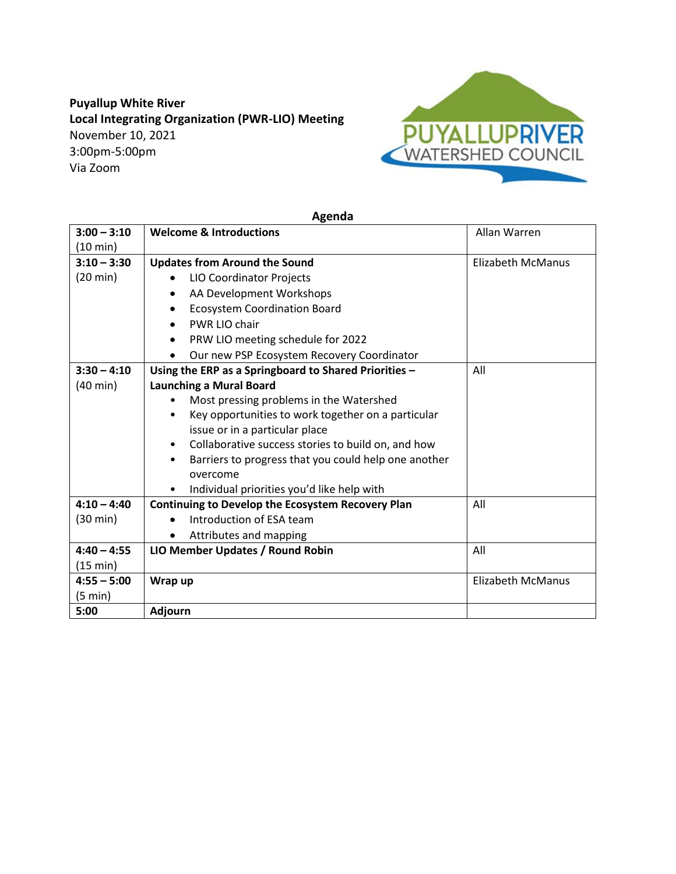## **Puyallup White River Local Integrating Organization (PWR-LIO) Meeting** November 10, 2021 3:00pm-5:00pm Via Zoom



## **Agenda**

| $3:00 - 3:10$      | <b>Welcome &amp; Introductions</b>                                | Allan Warren             |
|--------------------|-------------------------------------------------------------------|--------------------------|
| $(10 \text{ min})$ |                                                                   |                          |
| $3:10 - 3:30$      | <b>Updates from Around the Sound</b>                              | Elizabeth McManus        |
| $(20 \text{ min})$ | LIO Coordinator Projects                                          |                          |
|                    | AA Development Workshops<br>٠                                     |                          |
|                    | <b>Ecosystem Coordination Board</b>                               |                          |
|                    | PWR LIO chair<br>$\bullet$                                        |                          |
|                    | PRW LIO meeting schedule for 2022<br>$\bullet$                    |                          |
|                    | Our new PSP Ecosystem Recovery Coordinator<br>$\bullet$           |                          |
| $3:30 - 4:10$      | Using the ERP as a Springboard to Shared Priorities -             | All                      |
| $(40 \text{ min})$ | <b>Launching a Mural Board</b>                                    |                          |
|                    | Most pressing problems in the Watershed                           |                          |
|                    | Key opportunities to work together on a particular<br>٠           |                          |
|                    | issue or in a particular place                                    |                          |
|                    | Collaborative success stories to build on, and how<br>$\bullet$   |                          |
|                    | Barriers to progress that you could help one another<br>$\bullet$ |                          |
|                    | overcome                                                          |                          |
|                    | Individual priorities you'd like help with                        |                          |
| $4:10 - 4:40$      | <b>Continuing to Develop the Ecosystem Recovery Plan</b>          | All                      |
| $(30 \text{ min})$ | Introduction of ESA team                                          |                          |
|                    | Attributes and mapping                                            |                          |
| $4:40 - 4:55$      | LIO Member Updates / Round Robin                                  | All                      |
| (15 min)           |                                                                   |                          |
| $4:55 - 5:00$      | Wrap up                                                           | <b>Elizabeth McManus</b> |
| $(5 \text{ min})$  |                                                                   |                          |
| 5:00               | <b>Adjourn</b>                                                    |                          |